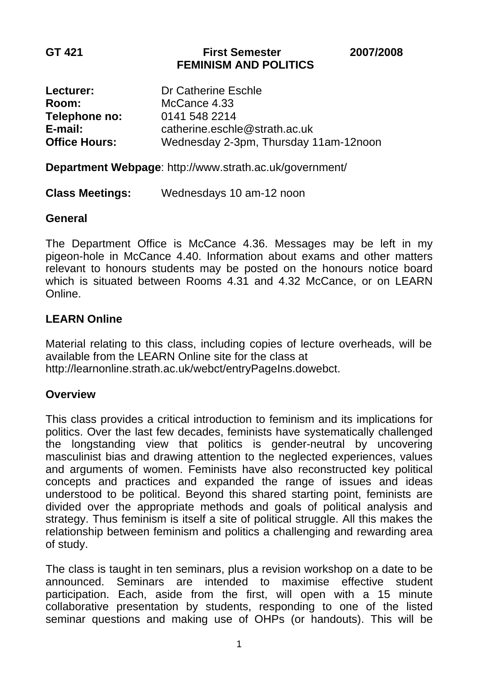#### **GT 421 First Semester 2007/2008 FEMINISM AND POLITICS**

| Lecturer:            | Dr Catherine Eschle                   |
|----------------------|---------------------------------------|
| <b>Room:</b>         | McCance 4.33                          |
| Telephone no:        | 0141 548 2214                         |
| $E$ -mail:           | catherine.eschle@strath.ac.uk         |
| <b>Office Hours:</b> | Wednesday 2-3pm, Thursday 11am-12noon |

**Department Webpage**:<http://www.strath.ac.uk/government/>

## **Class Meetings:** Wednesdays 10 am-12 noon

### **General**

The Department Office is McCance 4.36. Messages may be left in my pigeon-hole in McCance 4.40. Information about exams and other matters relevant to honours students may be posted on the honours notice board which is situated between Rooms 4.31 and 4.32 McCance, or on LEARN Online.

## **LEARN Online**

Material relating to this class, including copies of lecture overheads, will be available from the LEARN Online site for the class at <http://learnonline.strath.ac.uk/webct/entryPageIns.dowebct>.

## **Overview**

This class provides a critical introduction to feminism and its implications for politics. Over the last few decades, feminists have systematically challenged the longstanding view that politics is gender-neutral by uncovering masculinist bias and drawing attention to the neglected experiences, values and arguments of women. Feminists have also reconstructed key political concepts and practices and expanded the range of issues and ideas understood to be political. Beyond this shared starting point, feminists are divided over the appropriate methods and goals of political analysis and strategy. Thus feminism is itself a site of political struggle. All this makes the relationship between feminism and politics a challenging and rewarding area of study.

The class is taught in ten seminars, plus a revision workshop on a date to be announced. Seminars are intended to maximise effective student participation. Each, aside from the first, will open with a 15 minute collaborative presentation by students, responding to one of the listed seminar questions and making use of OHPs (or handouts). This will be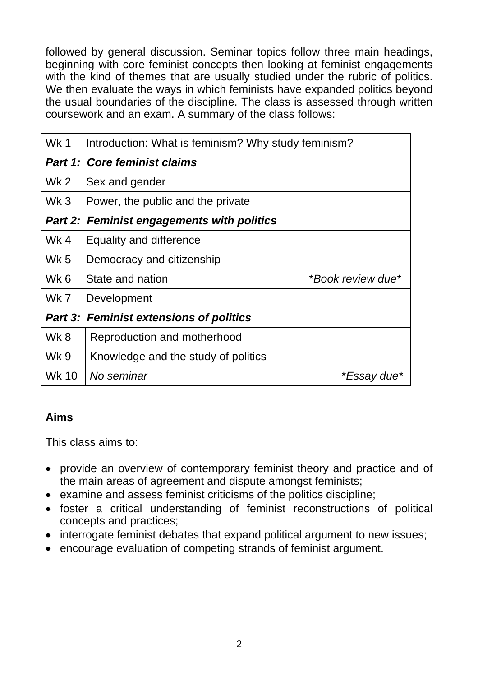followed by general discussion. Seminar topics follow three main headings, beginning with core feminist concepts then looking at feminist engagements with the kind of themes that are usually studied under the rubric of politics. We then evaluate the ways in which feminists have expanded politics beyond the usual boundaries of the discipline. The class is assessed through written coursework and an exam. A summary of the class follows:

| Wk 1                                              | Introduction: What is feminism? Why study feminism? |                   |
|---------------------------------------------------|-----------------------------------------------------|-------------------|
| <b>Part 1: Core feminist claims</b>               |                                                     |                   |
| Wk <sub>2</sub>                                   | Sex and gender                                      |                   |
| Wk <sub>3</sub>                                   | Power, the public and the private                   |                   |
| <b>Part 2: Feminist engagements with politics</b> |                                                     |                   |
| Wk 4                                              | Equality and difference                             |                   |
| <b>Wk 5</b>                                       | Democracy and citizenship                           |                   |
| Wk <sub>6</sub>                                   | State and nation                                    | *Book review due* |
| Wk 7                                              | Development                                         |                   |
| <b>Part 3: Feminist extensions of politics</b>    |                                                     |                   |
| Wk 8                                              | Reproduction and motherhood                         |                   |
| <b>Wk 9</b>                                       | Knowledge and the study of politics                 |                   |
| <b>Wk 10</b>                                      | No seminar                                          | *Essay due*       |

# **Aims**

This class aims to:

- provide an overview of contemporary feminist theory and practice and of the main areas of agreement and dispute amongst feminists;
- examine and assess feminist criticisms of the politics discipline;
- foster a critical understanding of feminist reconstructions of political concepts and practices;
- interrogate feminist debates that expand political argument to new issues;
- encourage evaluation of competing strands of feminist argument.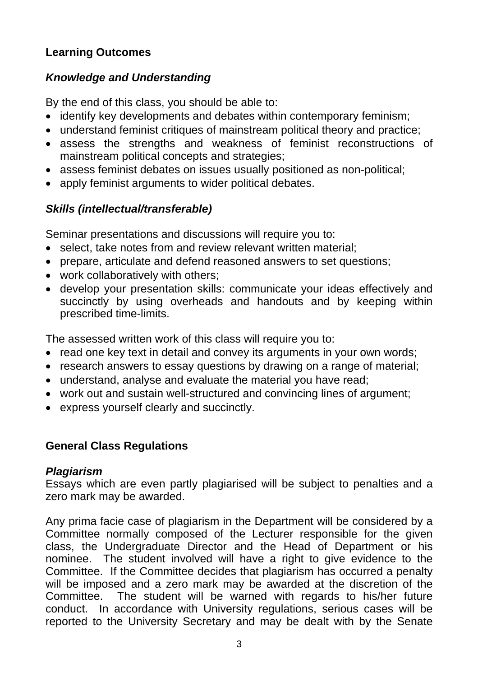# **Learning Outcomes**

# *Knowledge and Understanding*

By the end of this class, you should be able to:

- identify key developments and debates within contemporary feminism;
- understand feminist critiques of mainstream political theory and practice;
- assess the strengths and weakness of feminist reconstructions of mainstream political concepts and strategies;
- assess feminist debates on issues usually positioned as non-political;
- apply feminist arguments to wider political debates.

# *Skills (intellectual/transferable)*

Seminar presentations and discussions will require you to:

- select, take notes from and review relevant written material:
- prepare, articulate and defend reasoned answers to set questions;
- work collaboratively with others;
- develop your presentation skills: communicate your ideas effectively and succinctly by using overheads and handouts and by keeping within prescribed time-limits.

The assessed written work of this class will require you to:

- read one key text in detail and convey its arguments in your own words;
- research answers to essay questions by drawing on a range of material;
- understand, analyse and evaluate the material you have read;
- work out and sustain well-structured and convincing lines of argument;
- express yourself clearly and succinctly.

## **General Class Regulations**

## *Plagiarism*

Essays which are even partly plagiarised will be subject to penalties and a zero mark may be awarded.

Any prima facie case of plagiarism in the Department will be considered by a Committee normally composed of the Lecturer responsible for the given class, the Undergraduate Director and the Head of Department or his nominee. The student involved will have a right to give evidence to the Committee. If the Committee decides that plagiarism has occurred a penalty will be imposed and a zero mark may be awarded at the discretion of the Committee. The student will be warned with regards to his/her future conduct. In accordance with University regulations, serious cases will be reported to the University Secretary and may be dealt with by the Senate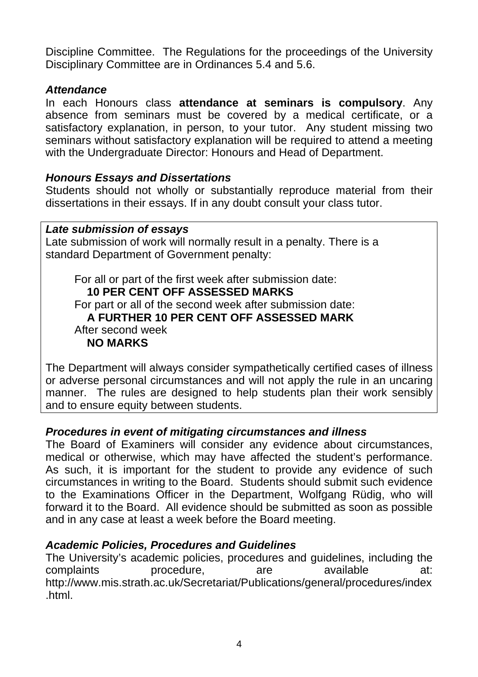Discipline Committee. The Regulations for the proceedings of the University Disciplinary Committee are in Ordinances 5.4 and 5.6.

### *Attendance*

In each Honours class **attendance at seminars is compulsory**. Any absence from seminars must be covered by a medical certificate, or a satisfactory explanation, in person, to your tutor. Any student missing two seminars without satisfactory explanation will be required to attend a meeting with the Undergraduate Director: Honours and Head of Department.

## *Honours Essays and Dissertations*

Students should not wholly or substantially reproduce material from their dissertations in their essays. If in any doubt consult your class tutor.

### *Late submission of essays*

Late submission of work will normally result in a penalty. There is a standard Department of Government penalty:

 For all or part of the first week after submission date: **10 PER CENT OFF ASSESSED MARKS**  For part or all of the second week after submission date: **A FURTHER 10 PER CENT OFF ASSESSED MARK** After second week **NO MARKS**

The Department will always consider sympathetically certified cases of illness or adverse personal circumstances and will not apply the rule in an uncaring manner. The rules are designed to help students plan their work sensibly and to ensure equity between students.

## *Procedures in event of mitigating circumstances and illness*

The Board of Examiners will consider any evidence about circumstances, medical or otherwise, which may have affected the student's performance. As such, it is important for the student to provide any evidence of such circumstances in writing to the Board. Students should submit such evidence to the Examinations Officer in the Department, Wolfgang Rüdig, who will forward it to the Board. All evidence should be submitted as soon as possible and in any case at least a week before the Board meeting.

## *Academic Policies, Procedures and Guidelines*

The University's academic policies, procedures and guidelines, including the complaints procedure, are available at: http://www.mis.strath.ac.uk/Secretariat/Publications/general/procedures/index .html.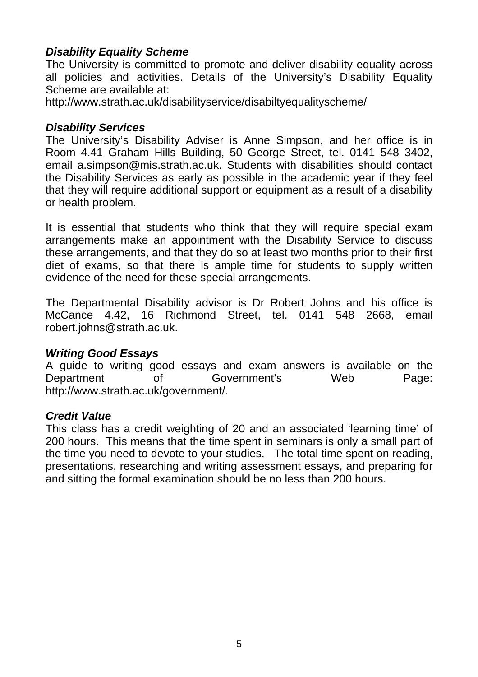## *Disability Equality Scheme*

The University is committed to promote and deliver disability equality across all policies and activities. Details of the University's Disability Equality Scheme are available at:

<http://www.strath.ac.uk/disabilityservice/disabiltyequalityscheme/>

#### *Disability Services*

The University's Disability Adviser is Anne Simpson, and her office is in Room 4.41 Graham Hills Building, 50 George Street, tel. 0141 548 3402, email a.simpson@mis.strath.ac.uk. Students with disabilities should contact the Disability Services as early as possible in the academic year if they feel that they will require additional support or equipment as a result of a disability or health problem.

It is essential that students who think that they will require special exam arrangements make an appointment with the Disability Service to discuss these arrangements, and that they do so at least two months prior to their first diet of exams, so that there is ample time for students to supply written evidence of the need for these special arrangements.

The Departmental Disability advisor is Dr Robert Johns and his office is McCance 4.42, 16 Richmond Street, tel. 0141 548 2668, email [robert.johns@strath.ac.uk.](mailto:robert.johns@strath.ac.uk)

#### *Writing Good Essays*

A guide to writing good essays and exam answers is available on the Department of Government's Web Page: http://www.strath.ac.uk/government/.

#### *Credit Value*

This class has a credit weighting of 20 and an associated 'learning time' of 200 hours. This means that the time spent in seminars is only a small part of the time you need to devote to your studies. The total time spent on reading, presentations, researching and writing assessment essays, and preparing for and sitting the formal examination should be no less than 200 hours.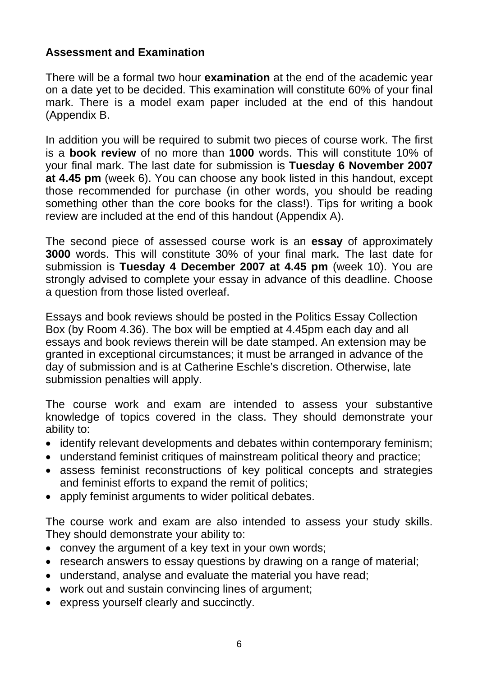## **Assessment and Examination**

There will be a formal two hour **examination** at the end of the academic year on a date yet to be decided. This examination will constitute 60% of your final mark. There is a model exam paper included at the end of this handout (Appendix B.

In addition you will be required to submit two pieces of course work. The first is a **book review** of no more than **1000** words. This will constitute 10% of your final mark. The last date for submission is **Tuesday 6 November 2007 at 4.45 pm** (week 6). You can choose any book listed in this handout, except those recommended for purchase (in other words, you should be reading something other than the core books for the class!). Tips for writing a book review are included at the end of this handout (Appendix A).

The second piece of assessed course work is an **essay** of approximately **3000** words. This will constitute 30% of your final mark. The last date for submission is **Tuesday 4 December 2007 at 4.45 pm** (week 10). You are strongly advised to complete your essay in advance of this deadline. Choose a question from those listed overleaf.

Essays and book reviews should be posted in the Politics Essay Collection Box (by Room 4.36). The box will be emptied at 4.45pm each day and all essays and book reviews therein will be date stamped. An extension may be granted in exceptional circumstances; it must be arranged in advance of the day of submission and is at Catherine Eschle's discretion. Otherwise, late submission penalties will apply.

The course work and exam are intended to assess your substantive knowledge of topics covered in the class. They should demonstrate your ability to:

- identify relevant developments and debates within contemporary feminism;
- understand feminist critiques of mainstream political theory and practice;
- assess feminist reconstructions of key political concepts and strategies and feminist efforts to expand the remit of politics;
- apply feminist arguments to wider political debates.

The course work and exam are also intended to assess your study skills. They should demonstrate your ability to:

- convey the argument of a key text in your own words;
- research answers to essay questions by drawing on a range of material;
- understand, analyse and evaluate the material you have read;
- work out and sustain convincing lines of argument;
- express yourself clearly and succinctly.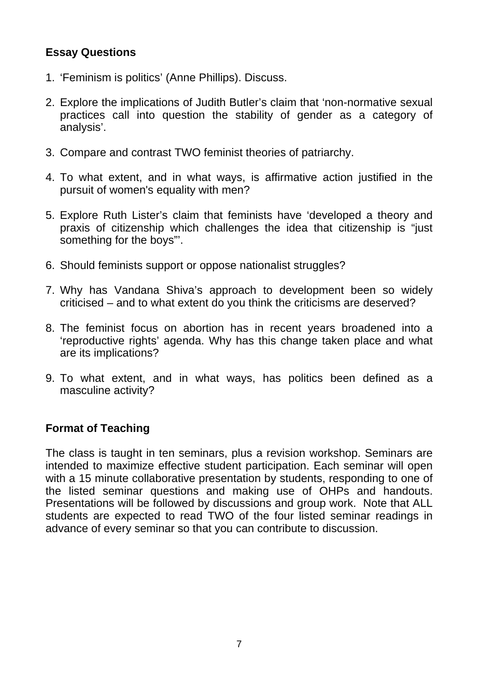## **Essay Questions**

- 1. 'Feminism is politics' (Anne Phillips). Discuss.
- 2. Explore the implications of Judith Butler's claim that 'non-normative sexual practices call into question the stability of gender as a category of analysis'.
- 3. Compare and contrast TWO feminist theories of patriarchy.
- 4. To what extent, and in what ways, is affirmative action justified in the pursuit of women's equality with men?
- 5. Explore Ruth Lister's claim that feminists have 'developed a theory and praxis of citizenship which challenges the idea that citizenship is "just something for the boys"'.
- 6. Should feminists support or oppose nationalist struggles?
- 7. Why has Vandana Shiva's approach to development been so widely criticised – and to what extent do you think the criticisms are deserved?
- 8. The feminist focus on abortion has in recent years broadened into a 'reproductive rights' agenda. Why has this change taken place and what are its implications?
- 9. To what extent, and in what ways, has politics been defined as a masculine activity?

## **Format of Teaching**

The class is taught in ten seminars, plus a revision workshop. Seminars are intended to maximize effective student participation. Each seminar will open with a 15 minute collaborative presentation by students, responding to one of the listed seminar questions and making use of OHPs and handouts. Presentations will be followed by discussions and group work. Note that ALL students are expected to read TWO of the four listed seminar readings in advance of every seminar so that you can contribute to discussion.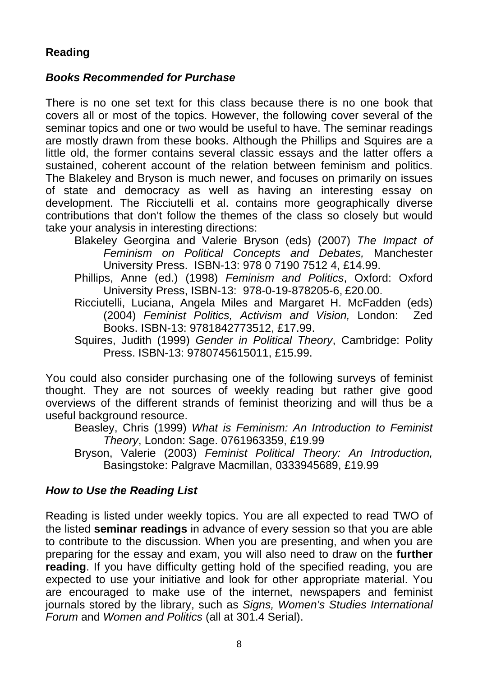# **Reading**

## *Books Recommended for Purchase*

There is no one set text for this class because there is no one book that covers all or most of the topics. However, the following cover several of the seminar topics and one or two would be useful to have. The seminar readings are mostly drawn from these books. Although the Phillips and Squires are a little old, the former contains several classic essays and the latter offers a sustained, coherent account of the relation between feminism and politics. The Blakeley and Bryson is much newer, and focuses on primarily on issues of state and democracy as well as having an interesting essay on development. The Ricciutelli et al. contains more geographically diverse contributions that don't follow the themes of the class so closely but would take your analysis in interesting directions:

- Blakeley Georgina and Valerie Bryson (eds) (2007) *The Impact of Feminism on Political Concepts and Debates,* Manchester University Press. ISBN-13: 978 0 7190 7512 4, £14.99.
- Phillips, Anne (ed.) (1998) *Feminism and Politics*, Oxford: Oxford University Press, ISBN-13: 978-0-19-878205-6, £20.00.
- Ricciutelli, Luciana, Angela Miles and Margaret H. McFadden (eds) (2004) *Feminist Politics, Activism and Vision,* London: Zed Books. ISBN-13: 9781842773512, £17.99.
- Squires, Judith (1999) *Gender in Political Theory*, Cambridge: Polity Press. ISBN-13: 9780745615011, £15.99.

You could also consider purchasing one of the following surveys of feminist thought. They are not sources of weekly reading but rather give good overviews of the different strands of feminist theorizing and will thus be a useful background resource.

Beasley, Chris (1999) *What is Feminism: An Introduction to Feminist Theory*, London: Sage. 0761963359, £19.99

Bryson, Valerie (2003) *Feminist Political Theory: An Introduction,*  Basingstoke: Palgrave Macmillan, 0333945689, £19.99

## *How to Use the Reading List*

Reading is listed under weekly topics. You are all expected to read TWO of the listed **seminar readings** in advance of every session so that you are able to contribute to the discussion. When you are presenting, and when you are preparing for the essay and exam, you will also need to draw on the **further reading**. If you have difficulty getting hold of the specified reading, you are expected to use your initiative and look for other appropriate material. You are encouraged to make use of the internet, newspapers and feminist journals stored by the library, such as *Signs, Women's Studies International Forum* and *Women and Politics* (all at 301.4 Serial).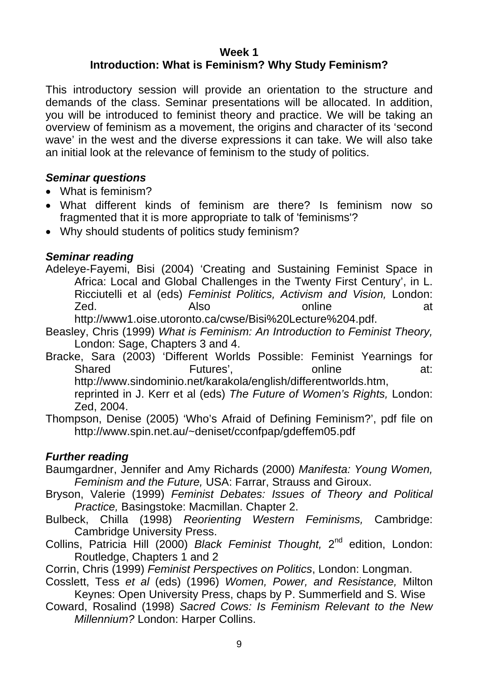# **Week 1**

# **Introduction: What is Feminism? Why Study Feminism?**

This introductory session will provide an orientation to the structure and demands of the class. Seminar presentations will be allocated. In addition, you will be introduced to feminist theory and practice. We will be taking an overview of feminism as a movement, the origins and character of its 'second wave' in the west and the diverse expressions it can take. We will also take an initial look at the relevance of feminism to the study of politics.

## *Seminar questions*

- What is feminism?
- What different kinds of feminism are there? Is feminism now so fragmented that it is more appropriate to talk of 'feminisms'?
- Why should students of politics study feminism?

### *Seminar reading*

Adeleye-Fayemi, Bisi (2004) 'Creating and Sustaining Feminist Space in Africa: Local and Global Challenges in the Twenty First Century', in L. Ricciutelli et al (eds) *Feminist Politics, Activism and Vision,* London: Zed. Also online at

[http://www1.oise.utoronto.ca/cwse/Bisi%20Lecture%204.pdf.](http://www1.oise.utoronto.ca/cwse/Bisi%20Lecture%204.pdf)

- Beasley, Chris (1999) *What is Feminism: An Introduction to Feminist Theory,*  London: Sage, Chapters 3 and 4.
- Bracke, Sara (2003) 'Different Worlds Possible: Feminist Yearnings for Shared **Futures'**, **Futures'**, **online** at: <http://www.sindominio.net/karakola/english/differentworlds.htm>, reprinted in J. Kerr et al (eds) *The Future of Women's Rights,* London: Zed, 2004.
- Thompson, Denise (2005) 'Who's Afraid of Defining Feminism?', pdf file on [http://www.spin.net.au/~deniset/cconfpap/gdeffem05.pdf](http://www.spin.net.au/%7Edeniset/cconfpap/gdeffem05.pdf)

- Baumgardner, Jennifer and Amy Richards (2000) *Manifesta: Young Women, Feminism and the Future,* USA: Farrar, Strauss and Giroux.
- Bryson, Valerie (1999) *Feminist Debates: Issues of Theory and Political Practice,* Basingstoke: Macmillan. Chapter 2.
- Bulbeck, Chilla (1998) *Reorienting Western Feminisms,* Cambridge: Cambridge University Press.
- Collins, Patricia Hill (2000) *Black Feminist Thought,* 2nd edition, London: Routledge, Chapters 1 and 2
- Corrin, Chris (1999) *Feminist Perspectives on Politics*, London: Longman.
- Cosslett, Tess *et al* (eds) (1996) *Women, Power, and Resistance,* Milton Keynes: Open University Press, chaps by P. Summerfield and S. Wise
- Coward, Rosalind (1998) *Sacred Cows: Is Feminism Relevant to the New Millennium?* London: Harper Collins.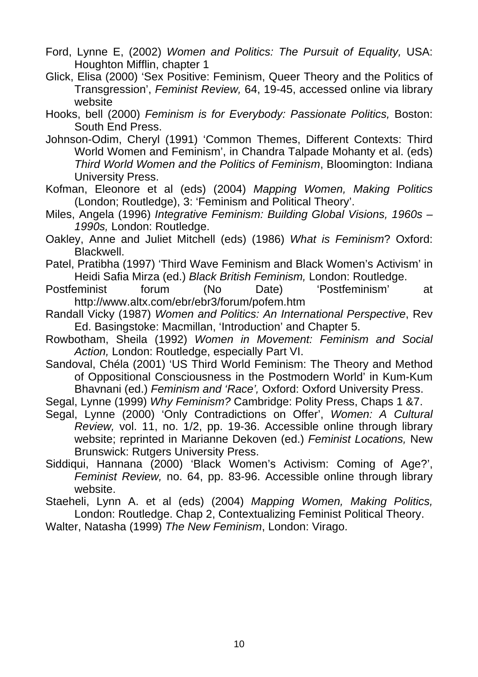- Ford, Lynne E, (2002) *Women and Politics: The Pursuit of Equality,* USA: Houghton Mifflin, chapter 1
- Glick, Elisa (2000) 'Sex Positive: Feminism, Queer Theory and the Politics of Transgression', *Feminist Review,* 64, 19-45, accessed online via library website
- Hooks, bell (2000) *Feminism is for Everybody: Passionate Politics,* Boston: South End Press.
- Johnson-Odim, Cheryl (1991) 'Common Themes, Different Contexts: Third World Women and Feminism', in Chandra Talpade Mohanty et al. (eds) *Third World Women and the Politics of Feminism*, Bloomington: Indiana University Press.
- Kofman, Eleonore et al (eds) (2004) *Mapping Women, Making Politics*  (London; Routledge), 3: 'Feminism and Political Theory'.
- Miles, Angela (1996) *Integrative Feminism: Building Global Visions, 1960s 1990s,* London: Routledge.
- Oakley, Anne and Juliet Mitchell (eds) (1986) *What is Feminism*? Oxford: Blackwell.
- Patel, Pratibha (1997) 'Third Wave Feminism and Black Women's Activism' in Heidi Safia Mirza (ed.) *Black British Feminism,* London: Routledge.
- Postfeminist forum (No Date) 'Postfeminism' at <http://www.altx.com/ebr/ebr3/forum/pofem.htm>
- Randall Vicky (1987) *Women and Politics: An International Perspective*, Rev Ed. Basingstoke: Macmillan, 'Introduction' and Chapter 5.
- Rowbotham, Sheila (1992) *Women in Movement: Feminism and Social Action,* London: Routledge, especially Part VI.
- Sandoval, Chéla (2001) 'US Third World Feminism: The Theory and Method of Oppositional Consciousness in the Postmodern World' in Kum-Kum Bhavnani (ed.) *Feminism and 'Race',* Oxford: Oxford University Press.
- Segal, Lynne (1999) *Why Feminism?* Cambridge: Polity Press, Chaps 1 &7.
- Segal, Lynne (2000) 'Only Contradictions on Offer', *Women: A Cultural Review,* vol. 11, no. 1/2, pp. 19-36. Accessible online through library website; reprinted in Marianne Dekoven (ed.) *Feminist Locations,* New Brunswick: Rutgers University Press.
- Siddiqui, Hannana (2000) 'Black Women's Activism: Coming of Age?', *Feminist Review,* no. 64, pp. 83-96. Accessible online through library website.
- Staeheli, Lynn A. et al (eds) (2004) *Mapping Women, Making Politics,* London: Routledge. Chap 2, Contextualizing Feminist Political Theory.
- Walter, Natasha (1999) *The New Feminism*, London: Virago.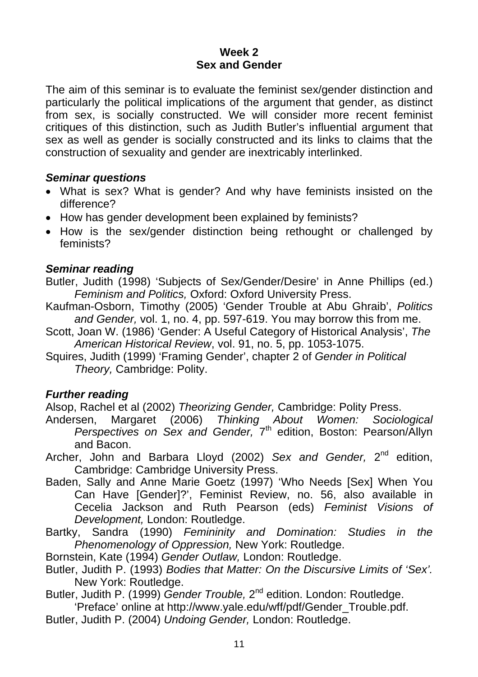### **Week 2 Sex and Gender**

The aim of this seminar is to evaluate the feminist sex/gender distinction and particularly the political implications of the argument that gender, as distinct from sex, is socially constructed. We will consider more recent feminist critiques of this distinction, such as Judith Butler's influential argument that sex as well as gender is socially constructed and its links to claims that the construction of sexuality and gender are inextricably interlinked.

### *Seminar questions*

- What is sex? What is gender? And why have feminists insisted on the difference?
- How has gender development been explained by feminists?
- How is the sex/gender distinction being rethought or challenged by feminists?

## *Seminar reading*

- Butler, Judith (1998) 'Subjects of Sex/Gender/Desire' in Anne Phillips (ed.) *Feminism and Politics,* Oxford: Oxford University Press.
- Kaufman-Osborn, Timothy (2005) 'Gender Trouble at Abu Ghraib', *Politics and Gender,* vol. 1, no. 4, pp. 597-619. You may borrow this from me.
- Scott, Joan W. (1986) 'Gender: A Useful Category of Historical Analysis', *The American Historical Review*, vol. 91, no. 5, pp. 1053-1075.
- Squires, Judith (1999) 'Framing Gender', chapter 2 of *Gender in Political Theory,* Cambridge: Polity.

## *Further reading*

Alsop, Rachel et al (2002) *Theorizing Gender,* Cambridge: Polity Press.

- Andersen, Margaret (2006) *Thinking About Women: Sociological Perspectives on Sex and Gender,* 7th edition, Boston: Pearson/Allyn and Bacon.
- Archer, John and Barbara Lloyd (2002) *Sex and Gender,* 2nd edition, Cambridge: Cambridge University Press.
- Baden, Sally and Anne Marie Goetz (1997) 'Who Needs [Sex] When You Can Have [Gender]?', Feminist Review, no. 56, also available in Cecelia Jackson and Ruth Pearson (eds) *Feminist Visions of Development,* London: Routledge.
- Bartky, Sandra (1990) *Femininity and Domination: Studies in the Phenomenology of Oppression,* New York: Routledge.

Bornstein, Kate (1994) *Gender Outlaw,* London: Routledge.

- Butler, Judith P. (1993) *Bodies that Matter: On the Discursive Limits of 'Sex'.*  New York: Routledge.
- Butler, Judith P. (1999) *Gender Trouble,* 2nd edition. London: Routledge. 'Preface' online at http:/[/www.yale.edu/wff/pdf/Gender\\_Trouble.pdf.](http://www.yale.edu/wff/pdf/Gender_Trouble.pdf)
- Butler, Judith P. (2004) *Undoing Gender,* London: Routledge.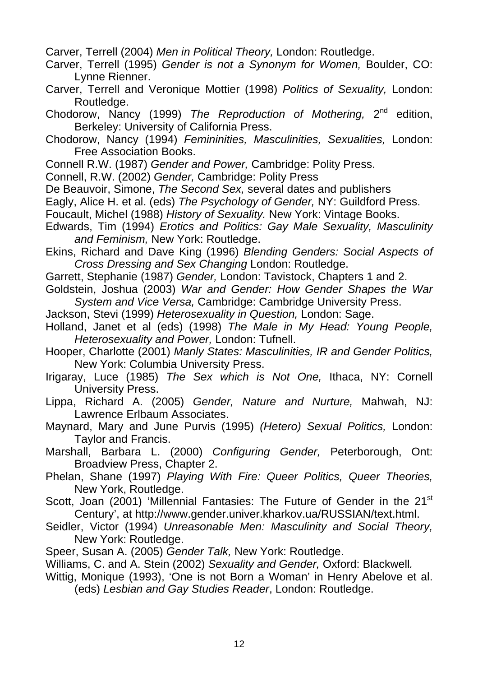Carver, Terrell (2004) *Men in Political Theory,* London: Routledge.

- Carver, Terrell (1995) *Gender is not a Synonym for Women,* Boulder, CO: Lynne Rienner.
- Carver, Terrell and Veronique Mottier (1998) *Politics of Sexuality,* London: Routledge.

Chodorow, Nancy (1999) *The Reproduction of Mothering,* 2nd edition, Berkeley: University of California Press.

- Chodorow, Nancy (1994) *Femininities, Masculinities, Sexualities,* London: Free Association Books.
- Connell R.W. (1987) *Gender and Power,* Cambridge: Polity Press.
- Connell, R.W. (2002) *Gender,* Cambridge: Polity Press
- De Beauvoir, Simone, *The Second Sex,* several dates and publishers
- Eagly, Alice H. et al. (eds) *The Psychology of Gender,* NY: Guildford Press.
- Foucault, Michel (1988) *History of Sexuality.* New York: Vintage Books.
- Edwards, Tim (1994) *Erotics and Politics: Gay Male Sexuality, Masculinity and Feminism,* New York: Routledge.
- Ekins, Richard and Dave King (1996) *Blending Genders: Social Aspects of Cross Dressing and Sex Changing* London: Routledge.
- Garrett, Stephanie (1987) *Gender,* London: Tavistock, Chapters 1 and 2.
- Goldstein, Joshua (2003) *War and Gender: How Gender Shapes the War System and Vice Versa,* Cambridge: Cambridge University Press.
- Jackson, Stevi (1999) *Heterosexuality in Question,* London: Sage.
- Holland, Janet et al (eds) (1998) *The Male in My Head: Young People, Heterosexuality and Power,* London: Tufnell.
- Hooper, Charlotte (2001) *Manly States: Masculinities, IR and Gender Politics,*  New York: Columbia University Press.
- Irigaray, Luce (1985) *The Sex which is Not One,* Ithaca, NY: Cornell University Press.
- Lippa, Richard A. (2005) *Gender, Nature and Nurture,* Mahwah, NJ: Lawrence Erlbaum Associates.
- Maynard, Mary and June Purvis (1995) *(Hetero) Sexual Politics,* London: Taylor and Francis.
- Marshall, Barbara L. (2000) *Configuring Gender,* Peterborough, Ont: Broadview Press, Chapter 2.
- Phelan, Shane (1997) *Playing With Fire: Queer Politics, Queer Theories,*  New York, Routledge.
- Scott, Joan (2001) 'Millennial Fantasies: The Future of Gender in the 21<sup>st</sup> Century', at [http://www.gender.univer.kharkov.ua/RUSSIAN/text.html.](http://www.gender.univer.kharkov.ua/RUSSIAN/text.html)
- Seidler, Victor (1994) *Unreasonable Men: Masculinity and Social Theory,*  New York: Routledge.
- Speer, Susan A. (2005) *Gender Talk,* New York: Routledge.
- Williams, C. and A. Stein (2002) *Sexuality and Gender,* Oxford: Blackwell*.*
- Wittig, Monique (1993), 'One is not Born a Woman' in Henry Abelove et al. (eds) *Lesbian and Gay Studies Reader*, London: Routledge.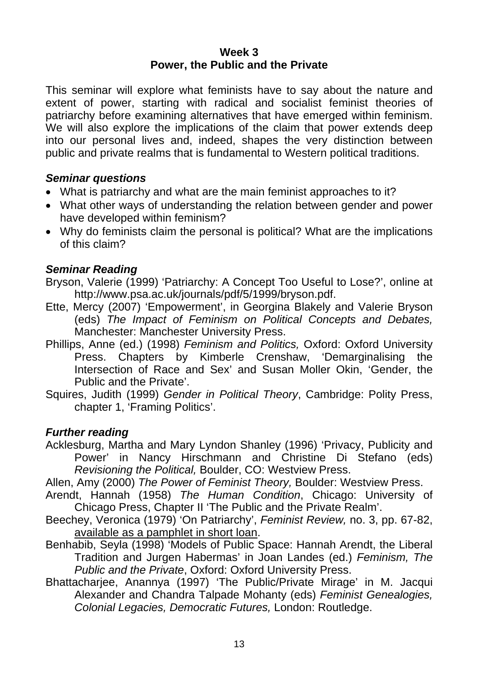#### **Week 3 Power, the Public and the Private**

This seminar will explore what feminists have to say about the nature and extent of power, starting with radical and socialist feminist theories of patriarchy before examining alternatives that have emerged within feminism. We will also explore the implications of the claim that power extends deep into our personal lives and, indeed, shapes the very distinction between public and private realms that is fundamental to Western political traditions.

## *Seminar questions*

- What is patriarchy and what are the main feminist approaches to it?
- What other ways of understanding the relation between gender and power have developed within feminism?
- Why do feminists claim the personal is political? What are the implications of this claim?

## *Seminar Reading*

- Bryson, Valerie (1999) 'Patriarchy: A Concept Too Useful to Lose?', online at [http://www.psa.ac.uk/journals/pdf/5/1999/bryson.pdf.](http://www.psa.ac.uk/journals/pdf/5/1999/bryson.pdf)
- Ette, Mercy (2007) 'Empowerment', in Georgina Blakely and Valerie Bryson (eds) *The Impact of Feminism on Political Concepts and Debates,*  Manchester: Manchester University Press.
- Phillips, Anne (ed.) (1998) *Feminism and Politics,* Oxford: Oxford University Press. Chapters by Kimberle Crenshaw, 'Demarginalising the Intersection of Race and Sex' and Susan Moller Okin, 'Gender, the Public and the Private'.
- Squires, Judith (1999) *Gender in Political Theory*, Cambridge: Polity Press, chapter 1, 'Framing Politics'.

## *Further reading*

Acklesburg, Martha and Mary Lyndon Shanley (1996) 'Privacy, Publicity and Power' in Nancy Hirschmann and Christine Di Stefano (eds) *Revisioning the Political,* Boulder, CO: Westview Press.

Allen, Amy (2000) *The Power of Feminist Theory,* Boulder: Westview Press.

- Arendt, Hannah (1958) *The Human Condition*, Chicago: University of Chicago Press, Chapter II 'The Public and the Private Realm'.
- Beechey, Veronica (1979) 'On Patriarchy', *Feminist Review,* no. 3, pp. 67-82, available as a pamphlet in short loan.
- Benhabib, Seyla (1998) 'Models of Public Space: Hannah Arendt, the Liberal Tradition and Jurgen Habermas' in Joan Landes (ed.) *Feminism, The Public and the Private*, Oxford: Oxford University Press.
- Bhattacharjee, Anannya (1997) 'The Public/Private Mirage' in M. Jacqui Alexander and Chandra Talpade Mohanty (eds) *Feminist Genealogies, Colonial Legacies, Democratic Futures,* London: Routledge.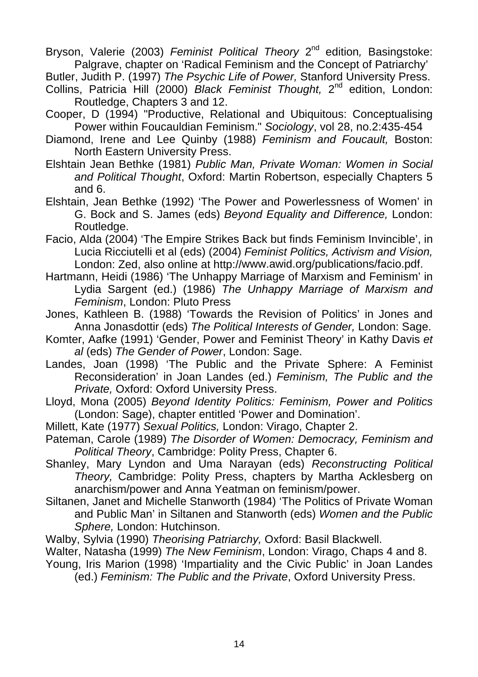Bryson, Valerie (2003) *Feminist Political Theory* 2nd edition*,* Basingstoke: Palgrave, chapter on 'Radical Feminism and the Concept of Patriarchy'

Butler, Judith P. (1997) *The Psychic Life of Power,* Stanford University Press.

- Collins, Patricia Hill (2000) *Black Feminist Thought,* 2nd edition, London: Routledge, Chapters 3 and 12.
- Cooper, D (1994) "Productive, Relational and Ubiquitous: Conceptualising Power within Foucauldian Feminism." *Sociology*, vol 28, no.2:435-454
- Diamond, Irene and Lee Quinby (1988) *Feminism and Foucault,* Boston: North Eastern University Press.
- Elshtain Jean Bethke (1981) *Public Man, Private Woman: Women in Social and Political Thought*, Oxford: Martin Robertson, especially Chapters 5 and 6.
- Elshtain, Jean Bethke (1992) 'The Power and Powerlessness of Women' in G. Bock and S. James (eds) *Beyond Equality and Difference,* London: Routledge.
- Facio, Alda (2004) 'The Empire Strikes Back but finds Feminism Invincible', in Lucia Ricciutelli et al (eds) (2004) *Feminist Politics, Activism and Vision,*  London: Zed, also online at http://[www.awid.org/publications/facio.pdf.](http://www.awid.org/publications/facio.pdf)
- Hartmann, Heidi (1986) 'The Unhappy Marriage of Marxism and Feminism' in Lydia Sargent (ed.) (1986) *The Unhappy Marriage of Marxism and Feminism*, London: Pluto Press
- Jones, Kathleen B. (1988) 'Towards the Revision of Politics' in Jones and Anna Jonasdottir (eds) *The Political Interests of Gender,* London: Sage.
- Komter, Aafke (1991) 'Gender, Power and Feminist Theory' in Kathy Davis *et al* (eds) *The Gender of Power*, London: Sage.

Landes, Joan (1998) 'The Public and the Private Sphere: A Feminist Reconsideration' in Joan Landes (ed.) *Feminism, The Public and the Private,* Oxford: Oxford University Press.

- Lloyd, Mona (2005) *Beyond Identity Politics: Feminism, Power and Politics*  (London: Sage), chapter entitled 'Power and Domination'.
- Millett, Kate (1977) *Sexual Politics,* London: Virago, Chapter 2.
- Pateman, Carole (1989) *The Disorder of Women: Democracy, Feminism and Political Theory*, Cambridge: Polity Press, Chapter 6.
- Shanley, Mary Lyndon and Uma Narayan (eds) *Reconstructing Political Theory,* Cambridge: Polity Press, chapters by Martha Acklesberg on anarchism/power and Anna Yeatman on feminism/power.
- Siltanen, Janet and Michelle Stanworth (1984) 'The Politics of Private Woman and Public Man' in Siltanen and Stanworth (eds) *Women and the Public Sphere,* London: Hutchinson.
- Walby, Sylvia (1990) *Theorising Patriarchy,* Oxford: Basil Blackwell.
- Walter, Natasha (1999) *The New Feminism*, London: Virago, Chaps 4 and 8.
- Young, Iris Marion (1998) 'Impartiality and the Civic Public' in Joan Landes (ed.) *Feminism: The Public and the Private*, Oxford University Press.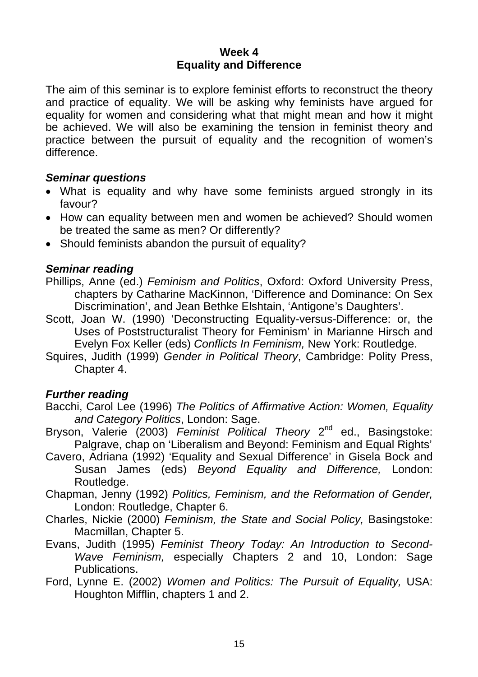### **Week 4 Equality and Difference**

The aim of this seminar is to explore feminist efforts to reconstruct the theory and practice of equality. We will be asking why feminists have argued for equality for women and considering what that might mean and how it might be achieved. We will also be examining the tension in feminist theory and practice between the pursuit of equality and the recognition of women's difference.

### *Seminar questions*

- What is equality and why have some feminists argued strongly in its favour?
- How can equality between men and women be achieved? Should women be treated the same as men? Or differently?
- Should feminists abandon the pursuit of equality?

### *Seminar reading*

- Phillips, Anne (ed.) *Feminism and Politics*, Oxford: Oxford University Press, chapters by Catharine MacKinnon, 'Difference and Dominance: On Sex Discrimination', and Jean Bethke Elshtain, 'Antigone's Daughters'.
- Scott, Joan W. (1990) 'Deconstructing Equality-versus-Difference: or, the Uses of Poststructuralist Theory for Feminism' in Marianne Hirsch and Evelyn Fox Keller (eds) *Conflicts In Feminism,* New York: Routledge.
- Squires, Judith (1999) *Gender in Political Theory*, Cambridge: Polity Press, Chapter 4.

- Bacchi, Carol Lee (1996) *The Politics of Affirmative Action: Women, Equality and Category Politics*, London: Sage.
- Bryson, Valerie (2003) *Feminist Political Theory* 2nd ed., Basingstoke: Palgrave, chap on 'Liberalism and Beyond: Feminism and Equal Rights'
- Cavero, Adriana (1992) 'Equality and Sexual Difference' in Gisela Bock and Susan James (eds) *Beyond Equality and Difference,* London: Routledge.
- Chapman, Jenny (1992) *Politics, Feminism, and the Reformation of Gender,*  London: Routledge, Chapter 6.
- Charles, Nickie (2000) *Feminism, the State and Social Policy,* Basingstoke: Macmillan, Chapter 5.
- Evans, Judith (1995) *Feminist Theory Today: An Introduction to Second-Wave Feminism,* especially Chapters 2 and 10, London: Sage Publications.
- Ford, Lynne E. (2002) *Women and Politics: The Pursuit of Equality,* USA: Houghton Mifflin, chapters 1 and 2.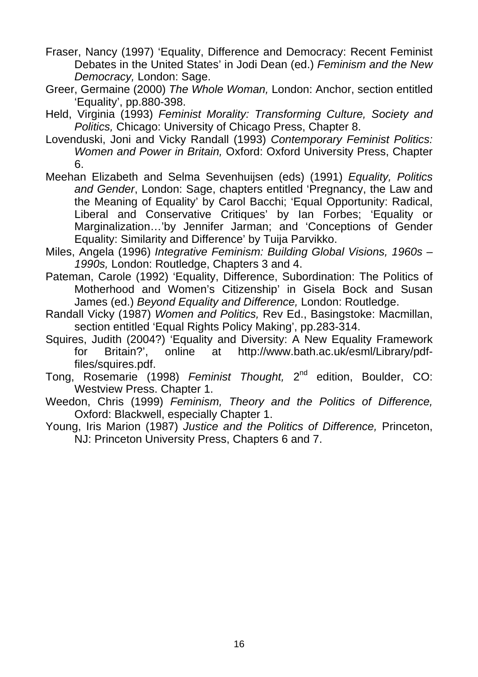- Fraser, Nancy (1997) 'Equality, Difference and Democracy: Recent Feminist Debates in the United States' in Jodi Dean (ed.) *Feminism and the New Democracy,* London: Sage.
- Greer, Germaine (2000) *The Whole Woman,* London: Anchor, section entitled 'Equality', pp.880-398.
- Held, Virginia (1993) *Feminist Morality: Transforming Culture, Society and Politics,* Chicago: University of Chicago Press, Chapter 8.
- Lovenduski, Joni and Vicky Randall (1993) *Contemporary Feminist Politics: Women and Power in Britain,* Oxford: Oxford University Press, Chapter 6.
- Meehan Elizabeth and Selma Sevenhuijsen (eds) (1991) *Equality, Politics and Gender*, London: Sage, chapters entitled 'Pregnancy, the Law and the Meaning of Equality' by Carol Bacchi; 'Equal Opportunity: Radical, Liberal and Conservative Critiques' by Ian Forbes; 'Equality or Marginalization…'by Jennifer Jarman; and 'Conceptions of Gender Equality: Similarity and Difference' by Tuija Parvikko.
- Miles, Angela (1996) *Integrative Feminism: Building Global Visions, 1960s 1990s,* London: Routledge, Chapters 3 and 4.
- Pateman, Carole (1992) 'Equality, Difference, Subordination: The Politics of Motherhood and Women's Citizenship' in Gisela Bock and Susan James (ed.) *Beyond Equality and Difference,* London: Routledge.
- Randall Vicky (1987) *Women and Politics,* Rev Ed., Basingstoke: Macmillan, section entitled 'Equal Rights Policy Making', pp.283-314.
- Squires, Judith (2004?) 'Equality and Diversity: A New Equality Framework for Britain?', online at http:/[/www.bath.ac.uk/esml/Library/pdf](http://www.bath.ac.uk/esml/Library/pdf-files/squires.pdf)[files/squires.pdf](http://www.bath.ac.uk/esml/Library/pdf-files/squires.pdf).
- Tong, Rosemarie (1998) *Feminist Thought,* 2nd edition, Boulder, CO: Westview Press. Chapter 1.
- Weedon, Chris (1999) *Feminism, Theory and the Politics of Difference,*  Oxford: Blackwell, especially Chapter 1.
- Young, Iris Marion (1987) *Justice and the Politics of Difference,* Princeton, NJ: Princeton University Press, Chapters 6 and 7.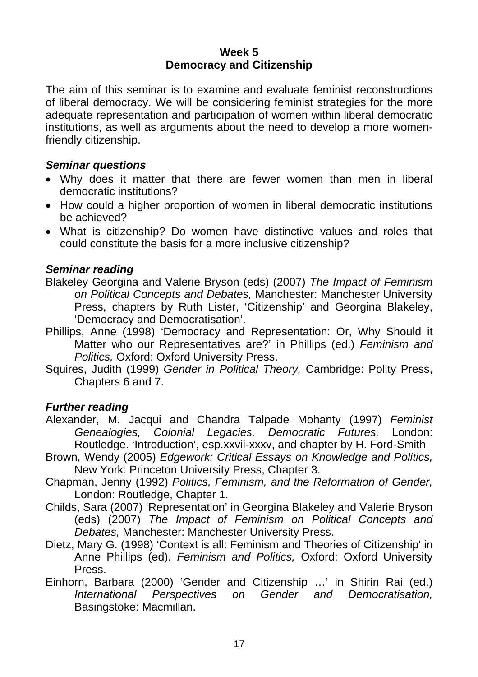#### **Week 5 Democracy and Citizenship**

The aim of this seminar is to examine and evaluate feminist reconstructions of liberal democracy. We will be considering feminist strategies for the more adequate representation and participation of women within liberal democratic institutions, as well as arguments about the need to develop a more womenfriendly citizenship.

### *Seminar questions*

- Why does it matter that there are fewer women than men in liberal democratic institutions?
- How could a higher proportion of women in liberal democratic institutions be achieved?
- What is citizenship? Do women have distinctive values and roles that could constitute the basis for a more inclusive citizenship?

## *Seminar reading*

- Blakeley Georgina and Valerie Bryson (eds) (2007) *The Impact of Feminism on Political Concepts and Debates,* Manchester: Manchester University Press, chapters by Ruth Lister, 'Citizenship' and Georgina Blakeley, 'Democracy and Democratisation'.
- Phillips, Anne (1998) 'Democracy and Representation: Or, Why Should it Matter who our Representatives are?' in Phillips (ed.) *Feminism and Politics,* Oxford: Oxford University Press.
- Squires, Judith (1999) *Gender in Political Theory,* Cambridge: Polity Press, Chapters 6 and 7.

- Alexander, M. Jacqui and Chandra Talpade Mohanty (1997) *Feminist Genealogies, Colonial Legacies, Democratic Futures,* London: Routledge. 'Introduction', esp.xxvii-xxxv, and chapter by H. Ford-Smith
- Brown, Wendy (2005) *Edgework: Critical Essays on Knowledge and Politics,*  New York: Princeton University Press, Chapter 3.
- Chapman, Jenny (1992) *Politics, Feminism, and the Reformation of Gender,*  London: Routledge, Chapter 1.
- Childs, Sara (2007) 'Representation' in Georgina Blakeley and Valerie Bryson (eds) (2007) *The Impact of Feminism on Political Concepts and Debates,* Manchester: Manchester University Press.
- Dietz, Mary G. (1998) 'Context is all: Feminism and Theories of Citizenship' in Anne Phillips (ed). *Feminism and Politics,* Oxford: Oxford University Press.
- Einhorn, Barbara (2000) 'Gender and Citizenship …' in Shirin Rai (ed.) *International Perspectives on Gender and Democratisation,*  Basingstoke: Macmillan.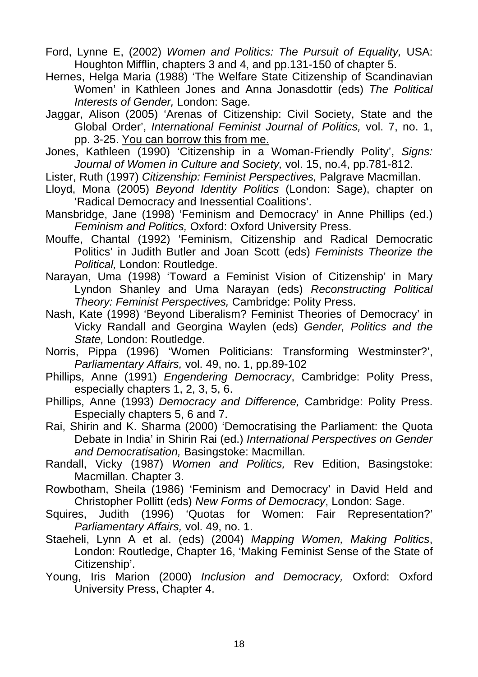- Ford, Lynne E, (2002) *Women and Politics: The Pursuit of Equality,* USA: Houghton Mifflin, chapters 3 and 4, and pp.131-150 of chapter 5.
- Hernes, Helga Maria (1988) 'The Welfare State Citizenship of Scandinavian Women' in Kathleen Jones and Anna Jonasdottir (eds) *The Political Interests of Gender,* London: Sage.
- Jaggar, Alison (2005) 'Arenas of Citizenship: Civil Society, State and the Global Order', *International Feminist Journal of Politics,* vol. 7, no. 1, pp. 3-25. You can borrow this from me.
- Jones, Kathleen (1990) 'Citizenship in a Woman-Friendly Polity', *Signs: Journal of Women in Culture and Society,* vol. 15, no.4, pp.781-812.
- Lister, Ruth (1997) *Citizenship: Feminist Perspectives,* Palgrave Macmillan.
- Lloyd, Mona (2005) *Beyond Identity Politics* (London: Sage), chapter on 'Radical Democracy and Inessential Coalitions'.
- Mansbridge, Jane (1998) 'Feminism and Democracy' in Anne Phillips (ed.) *Feminism and Politics,* Oxford: Oxford University Press.
- Mouffe, Chantal (1992) 'Feminism, Citizenship and Radical Democratic Politics' in Judith Butler and Joan Scott (eds) *Feminists Theorize the Political,* London: Routledge.
- Narayan, Uma (1998) 'Toward a Feminist Vision of Citizenship' in Mary Lyndon Shanley and Uma Narayan (eds) *Reconstructing Political Theory: Feminist Perspectives,* Cambridge: Polity Press.
- Nash, Kate (1998) 'Beyond Liberalism? Feminist Theories of Democracy' in Vicky Randall and Georgina Waylen (eds) *Gender, Politics and the State,* London: Routledge.
- Norris, Pippa (1996) 'Women Politicians: Transforming Westminster?', *Parliamentary Affairs,* vol. 49, no. 1, pp.89-102
- Phillips, Anne (1991) *Engendering Democracy*, Cambridge: Polity Press, especially chapters 1, 2, 3, 5, 6.
- Phillips, Anne (1993) *Democracy and Difference,* Cambridge: Polity Press. Especially chapters 5, 6 and 7.
- Rai, Shirin and K. Sharma (2000) 'Democratising the Parliament: the Quota Debate in India' in Shirin Rai (ed.) *International Perspectives on Gender and Democratisation,* Basingstoke: Macmillan.
- Randall, Vicky (1987) *Women and Politics,* Rev Edition, Basingstoke: Macmillan. Chapter 3.
- Rowbotham, Sheila (1986) 'Feminism and Democracy' in David Held and Christopher Pollitt (eds) *New Forms of Democracy*, London: Sage.
- Squires, Judith (1996) 'Quotas for Women: Fair Representation?' *Parliamentary Affairs,* vol. 49, no. 1.
- Staeheli, Lynn A et al. (eds) (2004) *Mapping Women, Making Politics*, London: Routledge, Chapter 16, 'Making Feminist Sense of the State of Citizenship'.
- Young, Iris Marion (2000) *Inclusion and Democracy,* Oxford: Oxford University Press, Chapter 4.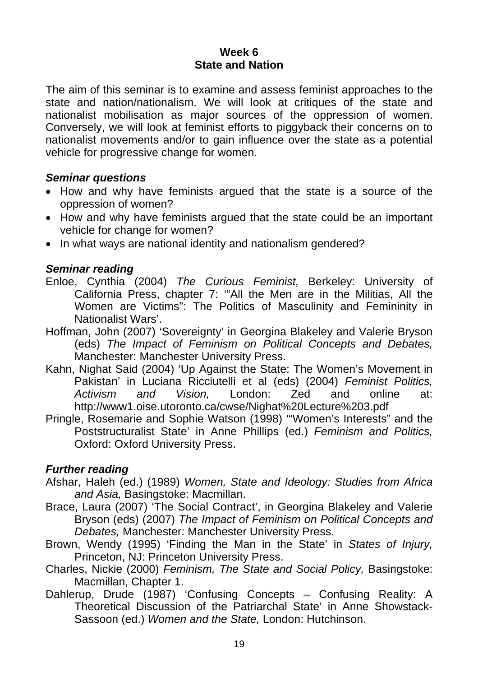### **Week 6 State and Nation**

The aim of this seminar is to examine and assess feminist approaches to the state and nation/nationalism. We will look at critiques of the state and nationalist mobilisation as major sources of the oppression of women. Conversely, we will look at feminist efforts to piggyback their concerns on to nationalist movements and/or to gain influence over the state as a potential vehicle for progressive change for women.

## *Seminar questions*

- How and why have feminists argued that the state is a source of the oppression of women?
- How and why have feminists argued that the state could be an important vehicle for change for women?
- In what ways are national identity and nationalism gendered?

## *Seminar reading*

- Enloe, Cynthia (2004) *The Curious Feminist,* Berkeley: University of California Press, chapter 7: '"All the Men are in the Militias, All the Women are Victims": The Politics of Masculinity and Femininity in Nationalist Wars'.
- Hoffman, John (2007) 'Sovereignty' in Georgina Blakeley and Valerie Bryson (eds) *The Impact of Feminism on Political Concepts and Debates,*  Manchester: Manchester University Press.
- Kahn, Nighat Said (2004) 'Up Against the State: The Women's Movement in Pakistan' in Luciana Ricciutelli et al (eds) (2004) *Feminist Politics, Activism and Vision,* London: Zed and online at: <http://www1.oise.utoronto.ca/cwse/Nighat%20Lecture%203.pdf>
- Pringle, Rosemarie and Sophie Watson (1998) '"Women's Interests" and the Poststructuralist State' in Anne Phillips (ed.) *Feminism and Politics,*  Oxford: Oxford University Press.

- Afshar, Haleh (ed.) (1989) *Women, State and Ideology: Studies from Africa and Asia,* Basingstoke: Macmillan.
- Brace, Laura (2007) 'The Social Contract', in Georgina Blakeley and Valerie Bryson (eds) (2007) *The Impact of Feminism on Political Concepts and Debates,* Manchester: Manchester University Press.
- Brown, Wendy (1995) 'Finding the Man in the State' in *States of Injury,*  Princeton, NJ: Princeton University Press.
- Charles, Nickie (2000) *Feminism, The State and Social Policy,* Basingstoke: Macmillan, Chapter 1.
- Dahlerup, Drude (1987) 'Confusing Concepts Confusing Reality: A Theoretical Discussion of the Patriarchal State' in Anne Showstack-Sassoon (ed.) *Women and the State,* London: Hutchinson.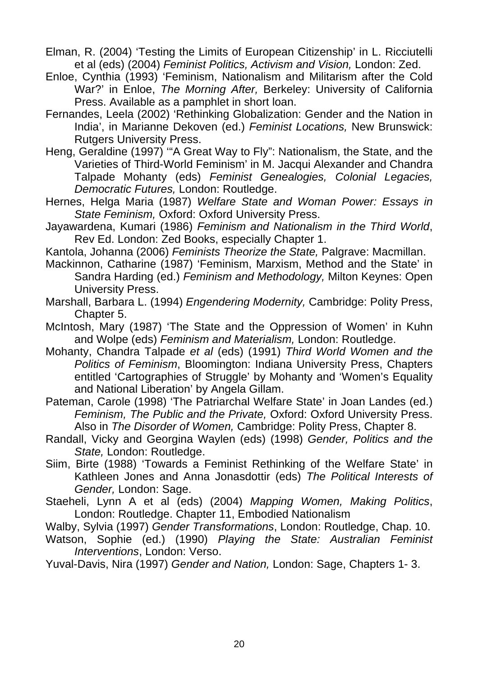- Elman, R. (2004) 'Testing the Limits of European Citizenship' in L. Ricciutelli et al (eds) (2004) *Feminist Politics, Activism and Vision,* London: Zed.
- Enloe, Cynthia (1993) 'Feminism, Nationalism and Militarism after the Cold War?' in Enloe, *The Morning After,* Berkeley: University of California Press. Available as a pamphlet in short loan.
- Fernandes, Leela (2002) 'Rethinking Globalization: Gender and the Nation in India', in Marianne Dekoven (ed.) *Feminist Locations,* New Brunswick: Rutgers University Press.
- Heng, Geraldine (1997) '"A Great Way to Fly": Nationalism, the State, and the Varieties of Third-World Feminism' in M. Jacqui Alexander and Chandra Talpade Mohanty (eds) *Feminist Genealogies, Colonial Legacies, Democratic Futures,* London: Routledge.
- Hernes, Helga Maria (1987) *Welfare State and Woman Power: Essays in State Feminism,* Oxford: Oxford University Press.
- Jayawardena, Kumari (1986) *Feminism and Nationalism in the Third World*, Rev Ed. London: Zed Books, especially Chapter 1.
- Kantola, Johanna (2006) *Feminists Theorize the State,* Palgrave: Macmillan.
- Mackinnon, Catharine (1987) 'Feminism, Marxism, Method and the State' in Sandra Harding (ed.) *Feminism and Methodology,* Milton Keynes: Open University Press.
- Marshall, Barbara L. (1994) *Engendering Modernity,* Cambridge: Polity Press, Chapter 5.
- McIntosh, Mary (1987) 'The State and the Oppression of Women' in Kuhn and Wolpe (eds) *Feminism and Materialism,* London: Routledge.
- Mohanty, Chandra Talpade *et al* (eds) (1991) *Third World Women and the Politics of Feminism*, Bloomington: Indiana University Press, Chapters entitled 'Cartographies of Struggle' by Mohanty and 'Women's Equality and National Liberation' by Angela Gillam.
- Pateman, Carole (1998) 'The Patriarchal Welfare State' in Joan Landes (ed.) *Feminism, The Public and the Private,* Oxford: Oxford University Press. Also in *The Disorder of Women,* Cambridge: Polity Press, Chapter 8.
- Randall, Vicky and Georgina Waylen (eds) (1998) *Gender, Politics and the State,* London: Routledge.
- Siim, Birte (1988) 'Towards a Feminist Rethinking of the Welfare State' in Kathleen Jones and Anna Jonasdottir (eds) *The Political Interests of Gender,* London: Sage.
- Staeheli, Lynn A et al (eds) (2004) *Mapping Women, Making Politics*, London: Routledge. Chapter 11, Embodied Nationalism
- Walby, Sylvia (1997) *Gender Transformations*, London: Routledge, Chap. 10.
- Watson, Sophie (ed.) (1990) *Playing the State: Australian Feminist Interventions*, London: Verso.

Yuval-Davis, Nira (1997) *Gender and Nation,* London: Sage, Chapters 1- 3.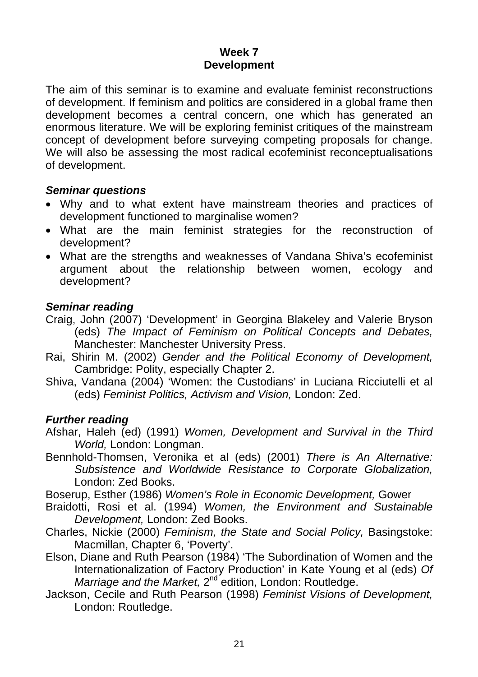### **Week 7 Development**

The aim of this seminar is to examine and evaluate feminist reconstructions of development. If feminism and politics are considered in a global frame then development becomes a central concern, one which has generated an enormous literature. We will be exploring feminist critiques of the mainstream concept of development before surveying competing proposals for change. We will also be assessing the most radical ecofeminist reconceptualisations of development.

#### *Seminar questions*

- Why and to what extent have mainstream theories and practices of development functioned to marginalise women?
- What are the main feminist strategies for the reconstruction of development?
- What are the strengths and weaknesses of Vandana Shiva's ecofeminist argument about the relationship between women, ecology and development?

## *Seminar reading*

- Craig, John (2007) 'Development' in Georgina Blakeley and Valerie Bryson (eds) *The Impact of Feminism on Political Concepts and Debates,*  Manchester: Manchester University Press.
- Rai, Shirin M. (2002) *Gender and the Political Economy of Development,*  Cambridge: Polity, especially Chapter 2.
- Shiva, Vandana (2004) 'Women: the Custodians' in Luciana Ricciutelli et al (eds) *Feminist Politics, Activism and Vision,* London: Zed.

- Afshar, Haleh (ed) (1991) *Women, Development and Survival in the Third World,* London: Longman.
- Bennhold-Thomsen, Veronika et al (eds) (2001) *There is An Alternative: Subsistence and Worldwide Resistance to Corporate Globalization,*  London: Zed Books.
- Boserup, Esther (1986) *Women's Role in Economic Development,* Gower
- Braidotti, Rosi et al. (1994) *Women, the Environment and Sustainable Development,* London: Zed Books.
- Charles, Nickie (2000) *Feminism, the State and Social Policy,* Basingstoke: Macmillan, Chapter 6, 'Poverty'.
- Elson, Diane and Ruth Pearson (1984) 'The Subordination of Women and the Internationalization of Factory Production' in Kate Young et al (eds) *Of Marriage and the Market,* 2<sup>nd edition, London: Routledge.</sup>
- Jackson, Cecile and Ruth Pearson (1998) *Feminist Visions of Development,*  London: Routledge.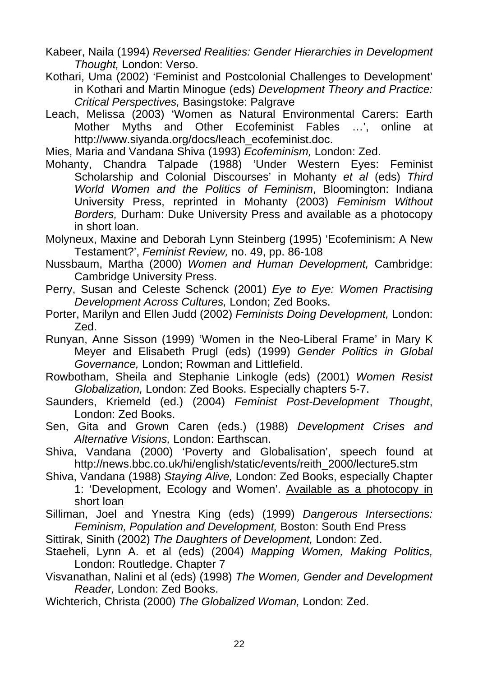Kabeer, Naila (1994) *Reversed Realities: Gender Hierarchies in Development Thought,* London: Verso.

Kothari, Uma (2002) 'Feminist and Postcolonial Challenges to Development' in Kothari and Martin Minogue (eds) *Development Theory and Practice: Critical Perspectives,* Basingstoke: Palgrave

Leach, Melissa (2003) 'Women as Natural Environmental Carers: Earth Mother Myths and Other Ecofeminist Fables …', online at [http://www.siyanda.org/docs/leach\\_ecofeminist.doc.](http://www.siyanda.org/docs/leach_ecofeminist.doc)

Mies, Maria and Vandana Shiva (1993) *Ecofeminism,* London: Zed.

Mohanty, Chandra Talpade (1988) 'Under Western Eyes: Feminist Scholarship and Colonial Discourses' in Mohanty *et al* (eds) *Third World Women and the Politics of Feminism*, Bloomington: Indiana University Press, reprinted in Mohanty (2003) *Feminism Without Borders,* Durham: Duke University Press and available as a photocopy in short loan.

Molyneux, Maxine and Deborah Lynn Steinberg (1995) 'Ecofeminism: A New Testament?', *Feminist Review,* no. 49, pp. 86-108

- Nussbaum, Martha (2000) *Women and Human Development,* Cambridge: Cambridge University Press.
- Perry, Susan and Celeste Schenck (2001) *Eye to Eye: Women Practising Development Across Cultures,* London; Zed Books.
- Porter, Marilyn and Ellen Judd (2002) *Feminists Doing Development,* London: Zed.
- Runyan, Anne Sisson (1999) 'Women in the Neo-Liberal Frame' in Mary K Meyer and Elisabeth Prugl (eds) (1999) *Gender Politics in Global Governance,* London; Rowman and Littlefield.
- Rowbotham, Sheila and Stephanie Linkogle (eds) (2001) *Women Resist Globalization,* London: Zed Books. Especially chapters 5-7.
- Saunders, Kriemeld (ed.) (2004) *Feminist Post-Development Thought*, London: Zed Books.

Sen, Gita and Grown Caren (eds.) (1988) *Development Crises and Alternative Visions,* London: Earthscan.

Shiva, Vandana (2000) 'Poverty and Globalisation', speech found at [http://news.bbc.co.uk/hi/english/static/events/reith\\_2000/lecture5.stm](http://news.bbc.co.uk/hi/english/static/events/reith_2000/lecture5.stm)

Shiva, Vandana (1988) *Staying Alive,* London: Zed Books, especially Chapter 1: 'Development, Ecology and Women'. Available as a photocopy in short loan

Silliman, Joel and Ynestra King (eds) (1999) *Dangerous Intersections: Feminism, Population and Development,* Boston: South End Press

Sittirak, Sinith (2002) *The Daughters of Development,* London: Zed.

- Staeheli, Lynn A. et al (eds) (2004) *Mapping Women, Making Politics,* London: Routledge. Chapter 7
- Visvanathan, Nalini et al (eds) (1998) *The Women, Gender and Development Reader,* London: Zed Books.
- Wichterich, Christa (2000) *The Globalized Woman,* London: Zed.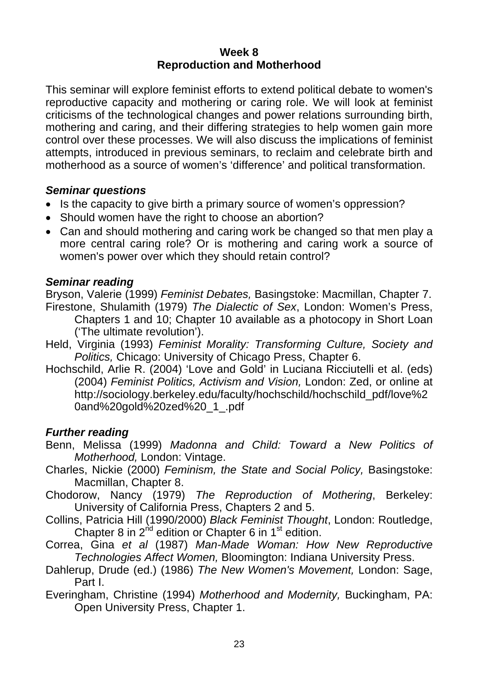#### **Week 8 Reproduction and Motherhood**

This seminar will explore feminist efforts to extend political debate to women's reproductive capacity and mothering or caring role. We will look at feminist criticisms of the technological changes and power relations surrounding birth, mothering and caring, and their differing strategies to help women gain more control over these processes. We will also discuss the implications of feminist attempts, introduced in previous seminars, to reclaim and celebrate birth and motherhood as a source of women's 'difference' and political transformation.

## *Seminar questions*

- Is the capacity to give birth a primary source of women's oppression?
- Should women have the right to choose an abortion?
- Can and should mothering and caring work be changed so that men play a more central caring role? Or is mothering and caring work a source of women's power over which they should retain control?

## *Seminar reading*

Bryson, Valerie (1999) *Feminist Debates,* Basingstoke: Macmillan, Chapter 7. Firestone, Shulamith (1979) *The Dialectic of Sex*, London: Women's Press,

- Chapters 1 and 10; Chapter 10 available as a photocopy in Short Loan ('The ultimate revolution').
- Held, Virginia (1993) *Feminist Morality: Transforming Culture, Society and Politics,* Chicago: University of Chicago Press, Chapter 6.
- Hochschild, Arlie R. (2004) 'Love and Gold' in Luciana Ricciutelli et al. (eds) (2004) *Feminist Politics, Activism and Vision,* London: Zed, or online at [http://sociology.berkeley.edu/faculty/hochschild/hochschild\\_pdf/love%2](http://sociology.berkeley.edu/faculty/hochschild/hochschild_pdf/love%20and%20gold%20zed%20_1_.pdf) [0and%20gold%20zed%20\\_1\\_.pdf](http://sociology.berkeley.edu/faculty/hochschild/hochschild_pdf/love%20and%20gold%20zed%20_1_.pdf)

- Benn, Melissa (1999) *Madonna and Child: Toward a New Politics of Motherhood,* London: Vintage.
- Charles, Nickie (2000) *Feminism, the State and Social Policy,* Basingstoke: Macmillan, Chapter 8.
- Chodorow, Nancy (1979) *The Reproduction of Mothering*, Berkeley: University of California Press, Chapters 2 and 5.
- Collins, Patricia Hill (1990/2000) *Black Feminist Thought*, London: Routledge, Chapter 8 in  $2^{nd}$  edition or Chapter 6 in  $1^{st}$  edition.
- Correa, Gina *et al* (1987) *Man-Made Woman: How New Reproductive Technologies Affect Women,* Bloomington: Indiana University Press.
- Dahlerup, Drude (ed.) (1986) *The New Women's Movement,* London: Sage, Part I.
- Everingham, Christine (1994) *Motherhood and Modernity,* Buckingham, PA: Open University Press, Chapter 1.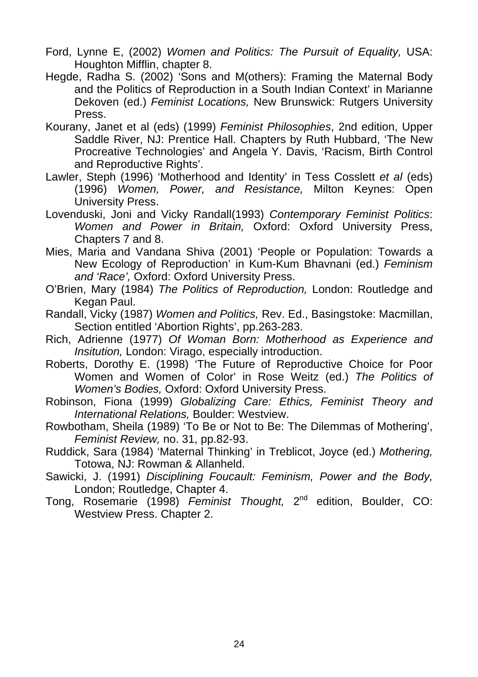- Ford, Lynne E, (2002) *Women and Politics: The Pursuit of Equality,* USA: Houghton Mifflin, chapter 8.
- Hegde, Radha S. (2002) 'Sons and M(others): Framing the Maternal Body and the Politics of Reproduction in a South Indian Context' in Marianne Dekoven (ed.) *Feminist Locations,* New Brunswick: Rutgers University Press.
- Kourany, Janet et al (eds) (1999) *Feminist Philosophies*, 2nd edition, Upper Saddle River, NJ: Prentice Hall. Chapters by Ruth Hubbard, 'The New Procreative Technologies' and Angela Y. Davis, 'Racism, Birth Control and Reproductive Rights'.
- Lawler, Steph (1996) 'Motherhood and Identity' in Tess Cosslett *et al* (eds) (1996) *Women, Power, and Resistance,* Milton Keynes: Open University Press.
- Lovenduski, Joni and Vicky Randall(1993) *Contemporary Feminist Politics*: *Women and Power in Britain,* Oxford: Oxford University Press, Chapters 7 and 8.
- Mies, Maria and Vandana Shiva (2001) 'People or Population: Towards a New Ecology of Reproduction' in Kum-Kum Bhavnani (ed.) *Feminism and 'Race',* Oxford: Oxford University Press.
- O'Brien, Mary (1984) *The Politics of Reproduction,* London: Routledge and Kegan Paul.
- Randall, Vicky (1987) *Women and Politics,* Rev. Ed., Basingstoke: Macmillan, Section entitled 'Abortion Rights', pp.263-283.
- Rich, Adrienne (1977) *Of Woman Born: Motherhood as Experience and Insitution,* London: Virago, especially introduction.
- Roberts, Dorothy E. (1998) 'The Future of Reproductive Choice for Poor Women and Women of Color' in Rose Weitz (ed.) *The Politics of Women's Bodies,* Oxford: Oxford University Press.
- Robinson, Fiona (1999) *Globalizing Care: Ethics, Feminist Theory and International Relations,* Boulder: Westview.
- Rowbotham, Sheila (1989) 'To Be or Not to Be: The Dilemmas of Mothering', *Feminist Review,* no. 31, pp.82-93.
- Ruddick, Sara (1984) 'Maternal Thinking' in Treblicot, Joyce (ed.) *Mothering,*  Totowa, NJ: Rowman & Allanheld.
- Sawicki, J. (1991) *Disciplining Foucault: Feminism, Power and the Body,*  London; Routledge, Chapter 4.
- Tong, Rosemarie (1998) *Feminist Thought,* 2nd edition, Boulder, CO: Westview Press. Chapter 2.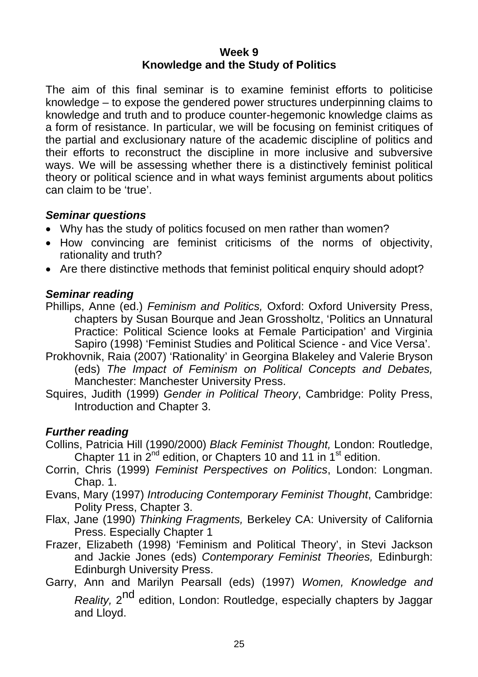#### **Week 9 Knowledge and the Study of Politics**

The aim of this final seminar is to examine feminist efforts to politicise knowledge – to expose the gendered power structures underpinning claims to knowledge and truth and to produce counter-hegemonic knowledge claims as a form of resistance. In particular, we will be focusing on feminist critiques of the partial and exclusionary nature of the academic discipline of politics and their efforts to reconstruct the discipline in more inclusive and subversive ways. We will be assessing whether there is a distinctively feminist political theory or political science and in what ways feminist arguments about politics can claim to be 'true'.

## *Seminar questions*

- Why has the study of politics focused on men rather than women?
- How convincing are feminist criticisms of the norms of objectivity, rationality and truth?
- Are there distinctive methods that feminist political enquiry should adopt?

## *Seminar reading*

- Phillips, Anne (ed.) *Feminism and Politics,* Oxford: Oxford University Press, chapters by Susan Bourque and Jean Grossholtz, 'Politics an Unnatural Practice: Political Science looks at Female Participation' and Virginia Sapiro (1998) 'Feminist Studies and Political Science - and Vice Versa'.
- Prokhovnik, Raia (2007) 'Rationality' in Georgina Blakeley and Valerie Bryson (eds) *The Impact of Feminism on Political Concepts and Debates,*  Manchester: Manchester University Press.
- Squires, Judith (1999) *Gender in Political Theory*, Cambridge: Polity Press, Introduction and Chapter 3.

- Collins, Patricia Hill (1990/2000) *Black Feminist Thought,* London: Routledge, Chapter 11 in  $2^{nd}$  edition, or Chapters 10 and 11 in  $1^{st}$  edition.
- Corrin, Chris (1999) *Feminist Perspectives on Politics*, London: Longman. Chap. 1.
- Evans, Mary (1997) *Introducing Contemporary Feminist Thought*, Cambridge: Polity Press, Chapter 3.
- Flax, Jane (1990) *Thinking Fragments,* Berkeley CA: University of California Press. Especially Chapter 1
- Frazer, Elizabeth (1998) 'Feminism and Political Theory', in Stevi Jackson and Jackie Jones (eds) *Contemporary Feminist Theories,* Edinburgh: Edinburgh University Press.
- Garry, Ann and Marilyn Pearsall (eds) (1997) *Women, Knowledge and Reality*, 2<sup>nd</sup> edition, London: Routledge, especially chapters by Jaggar and Lloyd.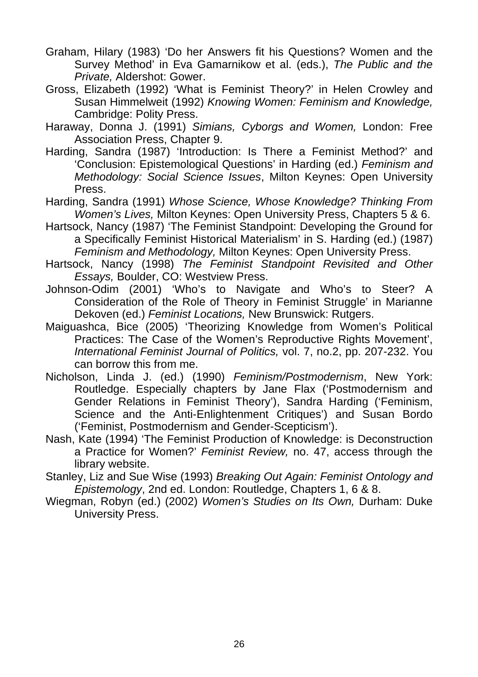- Graham, Hilary (1983) 'Do her Answers fit his Questions? Women and the Survey Method' in Eva Gamarnikow et al. (eds.), *The Public and the Private,* Aldershot: Gower.
- Gross, Elizabeth (1992) 'What is Feminist Theory?' in Helen Crowley and Susan Himmelweit (1992) *Knowing Women: Feminism and Knowledge,* Cambridge: Polity Press.
- Haraway, Donna J. (1991) *Simians, Cyborgs and Women,* London: Free Association Press, Chapter 9.
- Harding, Sandra (1987) 'Introduction: Is There a Feminist Method?' and 'Conclusion: Epistemological Questions' in Harding (ed.) *Feminism and Methodology: Social Science Issues*, Milton Keynes: Open University Press.
- Harding, Sandra (1991) *Whose Science, Whose Knowledge? Thinking From Women's Lives,* Milton Keynes: Open University Press, Chapters 5 & 6.
- Hartsock, Nancy (1987) 'The Feminist Standpoint: Developing the Ground for a Specifically Feminist Historical Materialism' in S. Harding (ed.) (1987) *Feminism and Methodology,* Milton Keynes: Open University Press.
- Hartsock, Nancy (1998) *The Feminist Standpoint Revisited and Other Essays,* Boulder, CO: Westview Press.
- Johnson-Odim (2001) 'Who's to Navigate and Who's to Steer? A Consideration of the Role of Theory in Feminist Struggle' in Marianne Dekoven (ed.) *Feminist Locations,* New Brunswick: Rutgers.
- Maiguashca, Bice (2005) 'Theorizing Knowledge from Women's Political Practices: The Case of the Women's Reproductive Rights Movement', *International Feminist Journal of Politics,* vol. 7, no.2, pp. 207-232. You can borrow this from me.
- Nicholson, Linda J. (ed.) (1990) *Feminism/Postmodernism*, New York: Routledge. Especially chapters by Jane Flax ('Postmodernism and Gender Relations in Feminist Theory'), Sandra Harding ('Feminism, Science and the Anti-Enlightenment Critiques') and Susan Bordo ('Feminist, Postmodernism and Gender-Scepticism').
- Nash, Kate (1994) 'The Feminist Production of Knowledge: is Deconstruction a Practice for Women?' *Feminist Review,* no. 47, access through the library website.
- Stanley, Liz and Sue Wise (1993) *Breaking Out Again: Feminist Ontology and Epistemology*, 2nd ed. London: Routledge, Chapters 1, 6 & 8.
- Wiegman, Robyn (ed.) (2002) *Women's Studies on Its Own,* Durham: Duke University Press.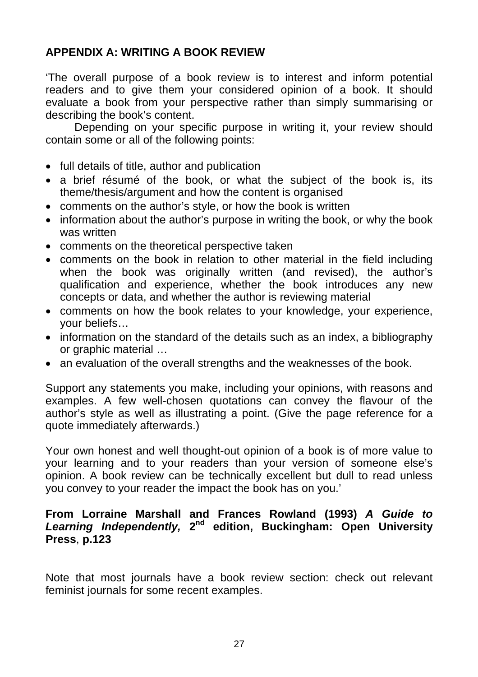# **APPENDIX A: WRITING A BOOK REVIEW**

'The overall purpose of a book review is to interest and inform potential readers and to give them your considered opinion of a book. It should evaluate a book from your perspective rather than simply summarising or describing the book's content.

Depending on your specific purpose in writing it, your review should contain some or all of the following points:

- full details of title, author and publication
- a brief résumé of the book, or what the subject of the book is, its theme/thesis/argument and how the content is organised
- comments on the author's style, or how the book is written
- information about the author's purpose in writing the book, or why the book was written
- comments on the theoretical perspective taken
- comments on the book in relation to other material in the field including when the book was originally written (and revised), the author's qualification and experience, whether the book introduces any new concepts or data, and whether the author is reviewing material
- comments on how the book relates to your knowledge, your experience, your beliefs…
- information on the standard of the details such as an index, a bibliography or graphic material …
- an evaluation of the overall strengths and the weaknesses of the book.

Support any statements you make, including your opinions, with reasons and examples. A few well-chosen quotations can convey the flavour of the author's style as well as illustrating a point. (Give the page reference for a quote immediately afterwards.)

Your own honest and well thought-out opinion of a book is of more value to your learning and to your readers than your version of someone else's opinion. A book review can be technically excellent but dull to read unless you convey to your reader the impact the book has on you.'

### **From Lorraine Marshall and Frances Rowland (1993)** *A Guide to Learning Independently,* **2nd edition, Buckingham: Open University Press**, **p.123**

Note that most journals have a book review section: check out relevant feminist journals for some recent examples.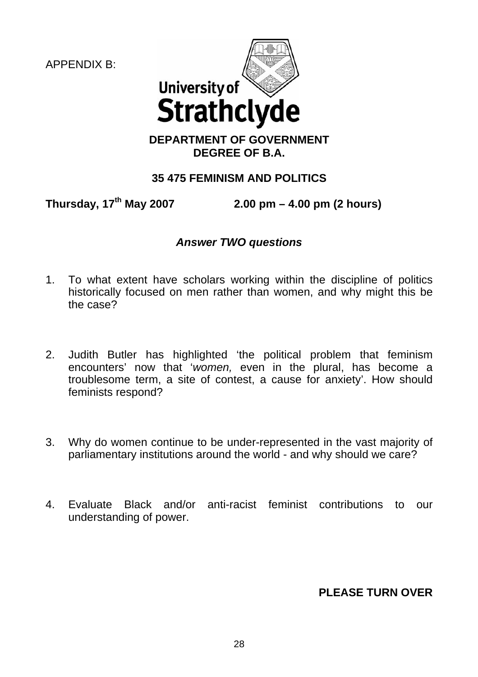APPENDIX B:



## **DEPARTMENT OF GOVERNMENT DEGREE OF B.A.**

# **35 475 FEMINISM AND POLITICS**

**Thursday, 17th May 2007 2.00 pm – 4.00 pm (2 hours)** 

## *Answer TWO questions*

- 1. To what extent have scholars working within the discipline of politics historically focused on men rather than women, and why might this be the case?
- 2. Judith Butler has highlighted 'the political problem that feminism encounters' now that '*women,* even in the plural, has become a troublesome term, a site of contest, a cause for anxiety'. How should feminists respond?
- 3. Why do women continue to be under-represented in the vast majority of parliamentary institutions around the world - and why should we care?
- 4. Evaluate Black and/or anti-racist feminist contributions to our understanding of power.

**PLEASE TURN OVER**